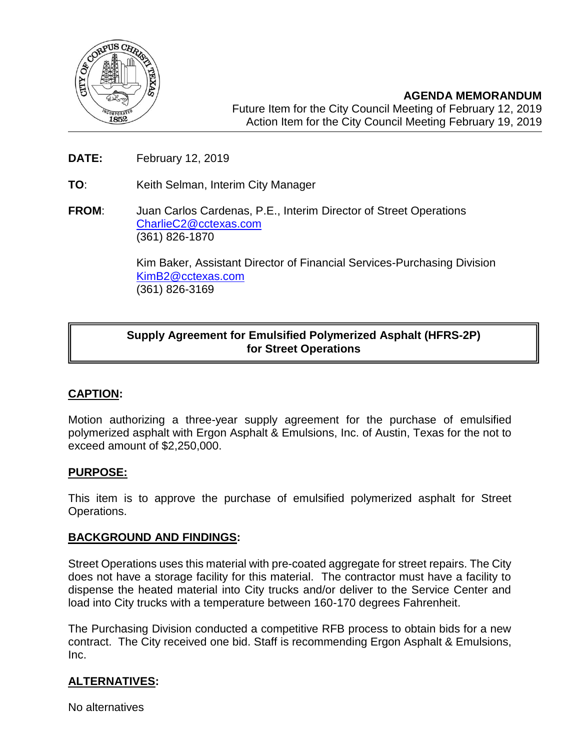

**AGENDA MEMORANDUM** Future Item for the City Council Meeting of February 12, 2019 Action Item for the City Council Meeting February 19, 2019

- **DATE:** February 12, 2019
- **TO**: Keith Selman, Interim City Manager
- **FROM**: Juan Carlos Cardenas, P.E., Interim Director of Street Operations [CharlieC2@cctexas.com](mailto:CharlieC2@cctexas.com) (361) 826-1870

Kim Baker, Assistant Director of Financial Services-Purchasing Division [KimB2@cctexas.com](mailto:KimB2@cctexas.com) (361) 826-3169

# **Supply Agreement for Emulsified Polymerized Asphalt (HFRS-2P) for Street Operations**

## **CAPTION:**

Ī

Motion authorizing a three-year supply agreement for the purchase of emulsified polymerized asphalt with Ergon Asphalt & Emulsions, Inc. of Austin, Texas for the not to exceed amount of \$2,250,000.

### **PURPOSE:**

This item is to approve the purchase of emulsified polymerized asphalt for Street Operations.

### **BACKGROUND AND FINDINGS:**

Street Operations uses this material with pre-coated aggregate for street repairs. The City does not have a storage facility for this material. The contractor must have a facility to dispense the heated material into City trucks and/or deliver to the Service Center and load into City trucks with a temperature between 160-170 degrees Fahrenheit.

The Purchasing Division conducted a competitive RFB process to obtain bids for a new contract. The City received one bid. Staff is recommending Ergon Asphalt & Emulsions, Inc.

## **ALTERNATIVES:**

No alternatives